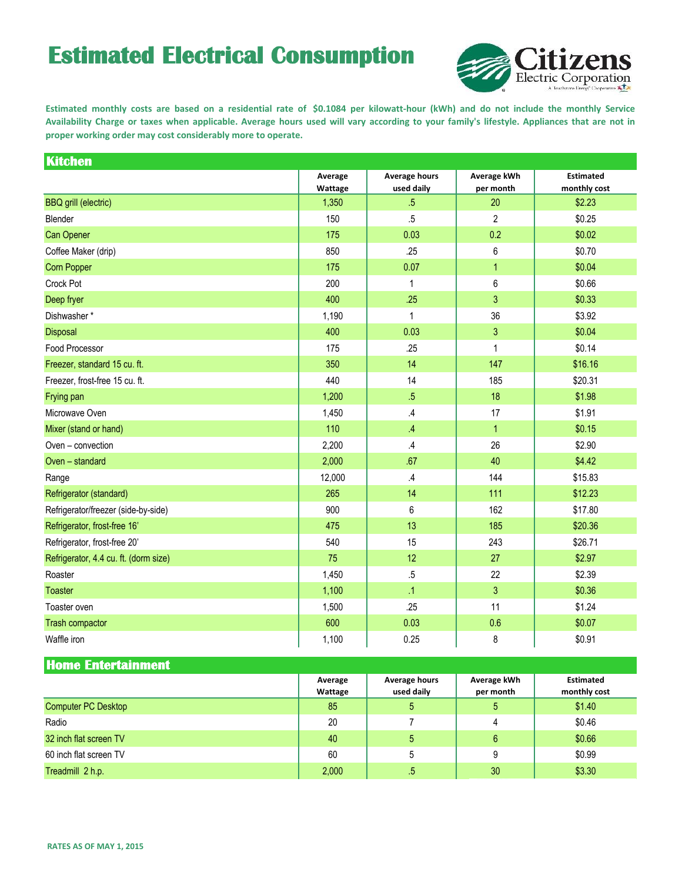## **Estimated Electrical Consumption**



Estimated monthly costs are based on a residential rate of \$0.1084 per kilowatt-hour (kWh) and do not include the monthly Service Availability Charge or taxes when applicable. Average hours used will vary according to your family's lifestyle. Appliances that are not in **proper working order may cost considerably more to operate.**

| <b>Kitchen</b>                        |                    |                                    |                          |                                  |
|---------------------------------------|--------------------|------------------------------------|--------------------------|----------------------------------|
|                                       | Average<br>Wattage | <b>Average hours</b><br>used daily | Average kWh<br>per month | <b>Estimated</b><br>monthly cost |
| <b>BBQ</b> grill (electric)           | 1,350              | $.5\,$                             | 20                       | \$2.23                           |
| Blender                               | 150                | .5                                 | 2                        | \$0.25                           |
| <b>Can Opener</b>                     | 175                | 0.03                               | 0.2                      | \$0.02                           |
| Coffee Maker (drip)                   | 850                | .25                                | 6                        | \$0.70                           |
| Corn Popper                           | 175                | 0.07                               | $\mathbf{1}$             | \$0.04                           |
| Crock Pot                             | 200                | $\mathbf{1}$                       | 6                        | \$0.66                           |
| Deep fryer                            | 400                | .25                                | 3                        | \$0.33                           |
| Dishwasher*                           | 1,190              | 1                                  | 36                       | \$3.92                           |
| Disposal                              | 400                | 0.03                               | 3                        | \$0.04                           |
| Food Processor                        | 175                | .25                                | $\mathbf{1}$             | \$0.14                           |
| Freezer, standard 15 cu. ft.          | 350                | 14                                 | 147                      | \$16.16                          |
| Freezer, frost-free 15 cu. ft.        | 440                | 14                                 | 185                      | \$20.31                          |
| Frying pan                            | 1,200              | $.5\,$                             | 18                       | \$1.98                           |
| Microwave Oven                        | 1,450              | $\mathcal{A}$                      | 17                       | \$1.91                           |
| Mixer (stand or hand)                 | 110                | $\mathcal{A}$                      | $\mathbf{1}$             | \$0.15                           |
| Oven - convection                     | 2,200              | $\overline{A}$                     | 26                       | \$2.90                           |
| Oven - standard                       | 2,000              | .67                                | 40                       | \$4.42                           |
| Range                                 | 12,000             | $\mathcal{A}$                      | 144                      | \$15.83                          |
| Refrigerator (standard)               | 265                | 14                                 | 111                      | \$12.23                          |
| Refrigerator/freezer (side-by-side)   | 900                | 6                                  | 162                      | \$17.80                          |
| Refrigerator, frost-free 16'          | 475                | 13                                 | 185                      | \$20.36                          |
| Refrigerator, frost-free 20'          | 540                | 15                                 | 243                      | \$26.71                          |
| Refrigerator, 4.4 cu. ft. (dorm size) | 75                 | 12                                 | 27                       | \$2.97                           |
| Roaster                               | 1,450              | $.5\,$                             | 22                       | \$2.39                           |
| <b>Toaster</b>                        | 1,100              | $\Lambda$                          | 3                        | \$0.36                           |
| Toaster oven                          | 1,500              | .25                                | 11                       | \$1.24                           |
| Trash compactor                       | 600                | 0.03                               | 0.6                      | \$0.07                           |
| Waffle iron                           | 1,100              | 0.25                               | 8                        | \$0.91                           |

**Home Entertainment**

|                            | Average | Average hours | Average kWh | <b>Estimated</b> |
|----------------------------|---------|---------------|-------------|------------------|
|                            | Wattage | used daily    | per month   | monthly cost     |
| <b>Computer PC Desktop</b> | 85      | 5             | 5           | \$1.40           |
| Radio                      | 20      |               |             | \$0.46           |
| 32 inch flat screen TV     | 40      | 5             | 6           | \$0.66           |
| 60 inch flat screen TV     | 60      | 5             | 9           | \$0.99           |
| Treadmill 2 h.p.           | 2,000   | .5            | 30          | \$3.30           |